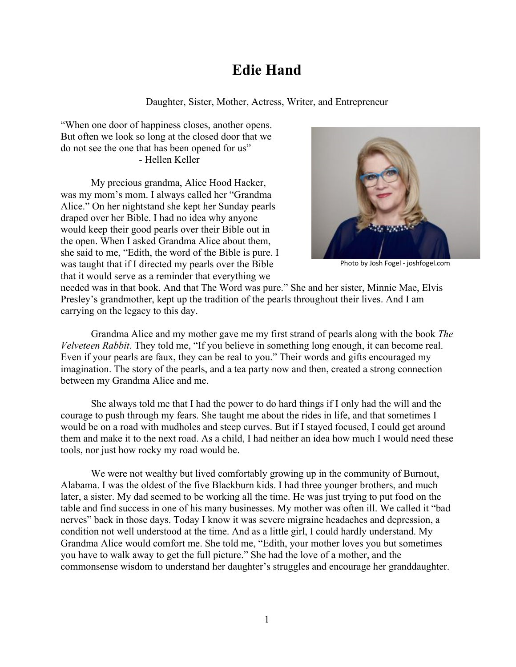## **Edie Hand**

Daughter, Sister, Mother, Actress, Writer, and Entrepreneur

"When one door of happiness closes, another opens. But often we look so long at the closed door that we do not see the one that has been opened for us" - Hellen Keller

My precious grandma, Alice Hood Hacker, was my mom's mom. I always called her "Grandma Alice." On her nightstand she kept her Sunday pearls draped over her Bible. I had no idea why anyone would keep their good pearls over their Bible out in the open. When I asked Grandma Alice about them, she said to me, "Edith, the word of the Bible is pure. I was taught that if I directed my pearls over the Bible that it would serve as a reminder that everything we



Photo by Josh Fogel - joshfogel.com

needed was in that book. And that The Word was pure." She and her sister, Minnie Mae, Elvis Presley's grandmother, kept up the tradition of the pearls throughout their lives. And I am carrying on the legacy to this day.

Grandma Alice and my mother gave me my first strand of pearls along with the book *The Velveteen Rabbit*. They told me, "If you believe in something long enough, it can become real. Even if your pearls are faux, they can be real to you." Their words and gifts encouraged my imagination. The story of the pearls, and a tea party now and then, created a strong connection between my Grandma Alice and me.

She always told me that I had the power to do hard things if I only had the will and the courage to push through my fears. She taught me about the rides in life, and that sometimes I would be on a road with mudholes and steep curves. But if I stayed focused, I could get around them and make it to the next road. As a child, I had neither an idea how much I would need these tools, nor just how rocky my road would be.

We were not wealthy but lived comfortably growing up in the community of Burnout, Alabama. I was the oldest of the five Blackburn kids. I had three younger brothers, and much later, a sister. My dad seemed to be working all the time. He was just trying to put food on the table and find success in one of his many businesses. My mother was often ill. We called it "bad nerves" back in those days. Today I know it was severe migraine headaches and depression, a condition not well understood at the time. And as a little girl, I could hardly understand. My Grandma Alice would comfort me. She told me, "Edith, your mother loves you but sometimes you have to walk away to get the full picture." She had the love of a mother, and the commonsense wisdom to understand her daughter's struggles and encourage her granddaughter.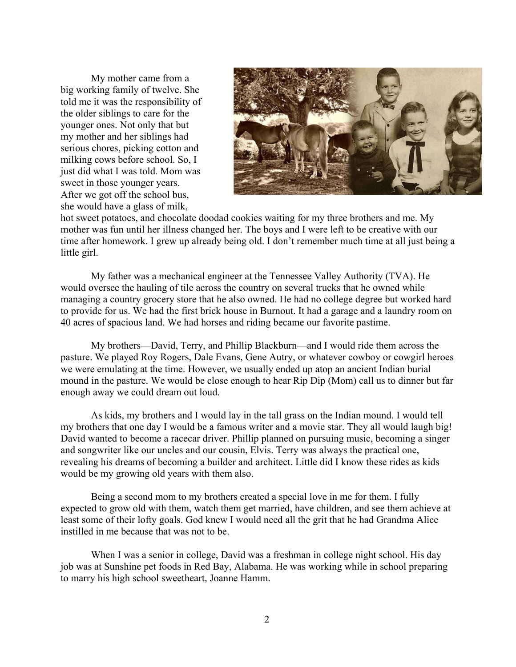My mother came from a big working family of twelve. She told me it was the responsibility of the older siblings to care for the younger ones. Not only that but my mother and her siblings had serious chores, picking cotton and milking cows before school. So, I just did what I was told. Mom was sweet in those younger years. After we got off the school bus, she would have a glass of milk,



hot sweet potatoes, and chocolate doodad cookies waiting for my three brothers and me. My mother was fun until her illness changed her. The boys and I were left to be creative with our time after homework. I grew up already being old. I don't remember much time at all just being a little girl.

My father was a mechanical engineer at the Tennessee Valley Authority (TVA). He would oversee the hauling of tile across the country on several trucks that he owned while managing a country grocery store that he also owned. He had no college degree but worked hard to provide for us. We had the first brick house in Burnout. It had a garage and a laundry room on 40 acres of spacious land. We had horses and riding became our favorite pastime.

My brothers—David, Terry, and Phillip Blackburn—and I would ride them across the pasture. We played Roy Rogers, Dale Evans, Gene Autry, or whatever cowboy or cowgirl heroes we were emulating at the time. However, we usually ended up atop an ancient Indian burial mound in the pasture. We would be close enough to hear Rip Dip (Mom) call us to dinner but far enough away we could dream out loud.

As kids, my brothers and I would lay in the tall grass on the Indian mound. I would tell my brothers that one day I would be a famous writer and a movie star. They all would laugh big! David wanted to become a racecar driver. Phillip planned on pursuing music, becoming a singer and songwriter like our uncles and our cousin, Elvis. Terry was always the practical one, revealing his dreams of becoming a builder and architect. Little did I know these rides as kids would be my growing old years with them also.

Being a second mom to my brothers created a special love in me for them. I fully expected to grow old with them, watch them get married, have children, and see them achieve at least some of their lofty goals. God knew I would need all the grit that he had Grandma Alice instilled in me because that was not to be.

When I was a senior in college, David was a freshman in college night school. His day job was at Sunshine pet foods in Red Bay, Alabama. He was working while in school preparing to marry his high school sweetheart, Joanne Hamm.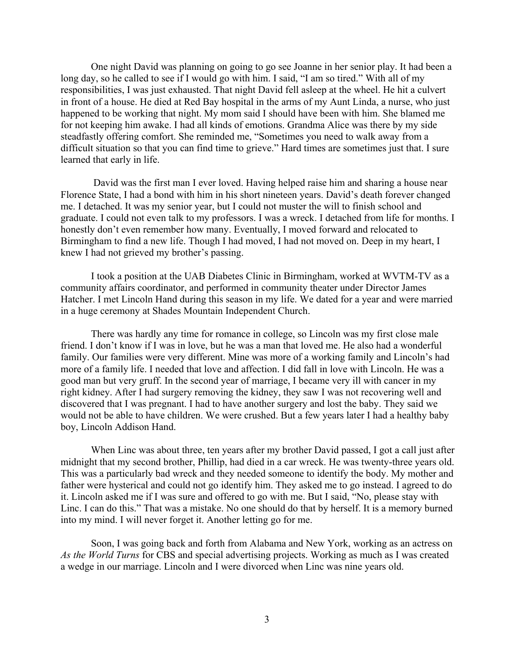One night David was planning on going to go see Joanne in her senior play. It had been a long day, so he called to see if I would go with him. I said, "I am so tired." With all of my responsibilities, I was just exhausted. That night David fell asleep at the wheel. He hit a culvert in front of a house. He died at Red Bay hospital in the arms of my Aunt Linda, a nurse, who just happened to be working that night. My mom said I should have been with him. She blamed me for not keeping him awake. I had all kinds of emotions. Grandma Alice was there by my side steadfastly offering comfort. She reminded me, "Sometimes you need to walk away from a difficult situation so that you can find time to grieve." Hard times are sometimes just that. I sure learned that early in life.

 David was the first man I ever loved. Having helped raise him and sharing a house near Florence State, I had a bond with him in his short nineteen years. David's death forever changed me. I detached. It was my senior year, but I could not muster the will to finish school and graduate. I could not even talk to my professors. I was a wreck. I detached from life for months. I honestly don't even remember how many. Eventually, I moved forward and relocated to Birmingham to find a new life. Though I had moved, I had not moved on. Deep in my heart, I knew I had not grieved my brother's passing.

I took a position at the UAB Diabetes Clinic in Birmingham, worked at WVTM-TV as a community affairs coordinator, and performed in community theater under Director James Hatcher. I met Lincoln Hand during this season in my life. We dated for a year and were married in a huge ceremony at Shades Mountain Independent Church.

There was hardly any time for romance in college, so Lincoln was my first close male friend. I don't know if I was in love, but he was a man that loved me. He also had a wonderful family. Our families were very different. Mine was more of a working family and Lincoln's had more of a family life. I needed that love and affection. I did fall in love with Lincoln. He was a good man but very gruff. In the second year of marriage, I became very ill with cancer in my right kidney. After I had surgery removing the kidney, they saw I was not recovering well and discovered that I was pregnant. I had to have another surgery and lost the baby. They said we would not be able to have children. We were crushed. But a few years later I had a healthy baby boy, Lincoln Addison Hand.

When Linc was about three, ten years after my brother David passed, I got a call just after midnight that my second brother, Phillip, had died in a car wreck. He was twenty-three years old. This was a particularly bad wreck and they needed someone to identify the body. My mother and father were hysterical and could not go identify him. They asked me to go instead. I agreed to do it. Lincoln asked me if I was sure and offered to go with me. But I said, "No, please stay with Linc. I can do this." That was a mistake. No one should do that by herself. It is a memory burned into my mind. I will never forget it. Another letting go for me.

 Soon, I was going back and forth from Alabama and New York, working as an actress on *As the World Turns* for CBS and special advertising projects. Working as much as I was created a wedge in our marriage. Lincoln and I were divorced when Linc was nine years old.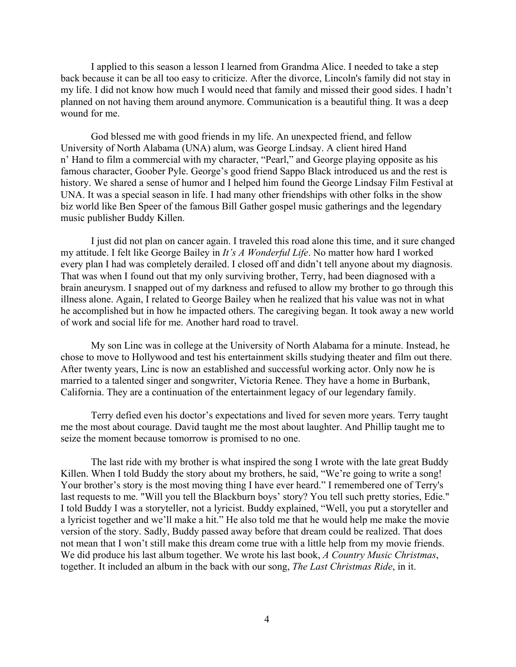I applied to this season a lesson I learned from Grandma Alice. I needed to take a step back because it can be all too easy to criticize. After the divorce, Lincoln's family did not stay in my life. I did not know how much I would need that family and missed their good sides. I hadn't planned on not having them around anymore. Communication is a beautiful thing. It was a deep wound for me.

God blessed me with good friends in my life. An unexpected friend, and fellow University of North Alabama (UNA) alum, was George Lindsay. A client hired Hand n' Hand to film a commercial with my character, "Pearl," and George playing opposite as his famous character, Goober Pyle. George's good friend Sappo Black introduced us and the rest is history. We shared a sense of humor and I helped him found the George Lindsay Film Festival at UNA. It was a special season in life. I had many other friendships with other folks in the show biz world like Ben Speer of the famous Bill Gather gospel music gatherings and the legendary music publisher Buddy Killen.

 I just did not plan on cancer again. I traveled this road alone this time, and it sure changed my attitude. I felt like George Bailey in *It's A Wonderful Life*. No matter how hard I worked every plan I had was completely derailed. I closed off and didn't tell anyone about my diagnosis. That was when I found out that my only surviving brother, Terry, had been diagnosed with a brain aneurysm. I snapped out of my darkness and refused to allow my brother to go through this illness alone. Again, I related to George Bailey when he realized that his value was not in what he accomplished but in how he impacted others. The caregiving began. It took away a new world of work and social life for me. Another hard road to travel.

My son Linc was in college at the University of North Alabama for a minute. Instead, he chose to move to Hollywood and test his entertainment skills studying theater and film out there. After twenty years, Linc is now an established and successful working actor. Only now he is married to a talented singer and songwriter, Victoria Renee. They have a home in Burbank, California. They are a continuation of the entertainment legacy of our legendary family.

Terry defied even his doctor's expectations and lived for seven more years. Terry taught me the most about courage. David taught me the most about laughter. And Phillip taught me to seize the moment because tomorrow is promised to no one.

The last ride with my brother is what inspired the song I wrote with the late great Buddy Killen. When I told Buddy the story about my brothers, he said, "We're going to write a song! Your brother's story is the most moving thing I have ever heard." I remembered one of Terry's last requests to me. "Will you tell the Blackburn boys' story? You tell such pretty stories, Edie." I told Buddy I was a storyteller, not a lyricist. Buddy explained, "Well, you put a storyteller and a lyricist together and we'll make a hit." He also told me that he would help me make the movie version of the story. Sadly, Buddy passed away before that dream could be realized. That does not mean that I won't still make this dream come true with a little help from my movie friends. We did produce his last album together. We wrote his last book, *A Country Music Christmas*, together. It included an album in the back with our song, *The Last Christmas Ride*, in it.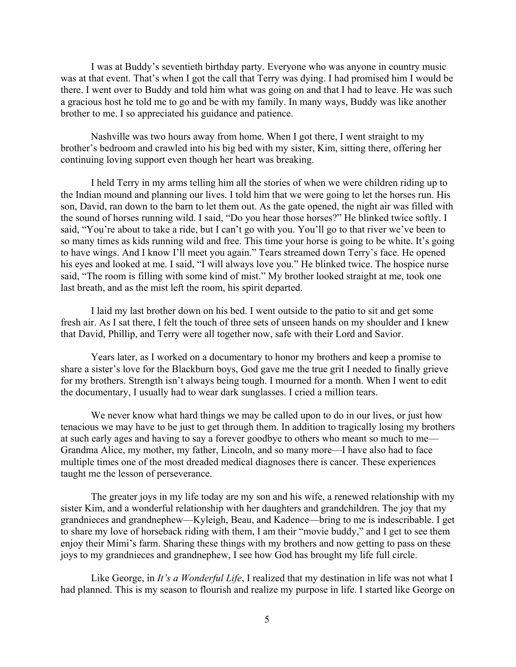I was at Buddy's seventieth birthday party. Everyone who was anyone in country music was at that event. That's when I got the call that Terry was dying. I had promised him I would be there. I went over to Buddy and told him what was going on and that I had to leave. He was such a gracious host he told me to go and be with my family. In many ways, Buddy was like another brother to me. I so appreciated his guidance and patience.

Nashville was two hours away from home. When I got there, I went straight to my brother's bedroom and crawled into his big bed with my sister, Kim, sitting there, offering her continuing loving support even though her heart was breaking.

I held Terry in my arms telling him all the stories of when we were children riding up to the Indian mound and planning our lives. I told him that we were going to let the horses run. His son, David, ran down to the barn to let them out. As the gate opened, the night air was filled with the sound of horses running wild. I said, "Do you hear those horses?" He blinked twice softly. I said, "You're about to take a ride, but I can't go with you. You'll go to that river we've been to so many times as kids running wild and free. This time your horse is going to be white. It's going to have wings. And I know I'll meet you again." Tears streamed down Terry's face. He opened his eyes and looked at me. I said, "I will always love you." He blinked twice. The hospice nurse said, "The room is filling with some kind of mist." My brother looked straight at me, took one last breath, and as the mist left the room, his spirit departed.

I laid my last brother down on his bed. I went outside to the patio to sit and get some fresh air. As I sat there, I felt the touch of three sets of unseen hands on my shoulder and I knew that David, Phillip, and Terry were all together now, safe with their Lord and Savior.

Years later, as I worked on a documentary to honor my brothers and keep a promise to share a sister's love for the Blackburn boys, God gave me the true grit I needed to finally grieve for my brothers. Strength isn't always being tough. I mourned for a month. When I went to edit the documentary, I usually had to wear dark sunglasses. I cried a million tears.

We never know what hard things we may be called upon to do in our lives, or just how tenacious we may have to be just to get through them. In addition to tragically losing my brothers at such early ages and having to say a forever goodbye to others who meant so much to me— Grandma Alice, my mother, my father, Lincoln, and so many more—I have also had to face multiple times one of the most dreaded medical diagnoses there is cancer. These experiences taught me the lesson of perseverance.

The greater joys in my life today are my son and his wife, a renewed relationship with my sister Kim, and a wonderful relationship with her daughters and grandchildren. The joy that my grandnieces and grandnephew—Kyleigh, Beau, and Kadence—bring to me is indescribable. I get to share my love of horseback riding with them, I am their "movie buddy," and I get to see them enjoy their Mimi's farm. Sharing these things with my brothers and now getting to pass on these joys to my grandnieces and grandnephew, I see how God has brought my life full circle.

Like George, in *It's a Wonderful Life*, I realized that my destination in life was not what I had planned. This is my season to flourish and realize my purpose in life. I started like George on